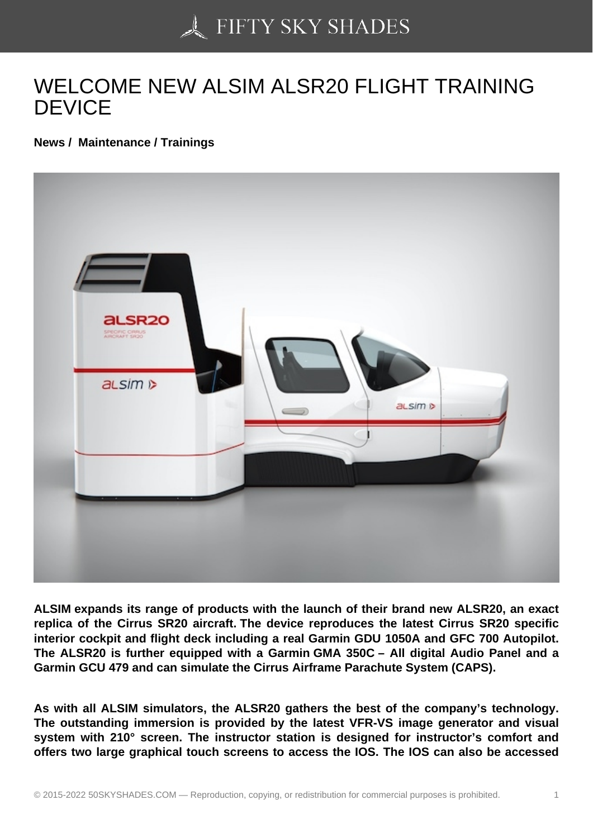## [WELCOME NEW ALSI](https://50skyshades.com)M ALSR20 FLIGHT TRAINING DEVICE

News / Maintenance / Trainings

ALSIM expands its range of products with the launch of their brand new ALSR20, an exact replica of the Cirrus SR20 aircraft. The device reproduces the latest Cirrus SR20 specific interior cockpit and flight deck including a real Garmin GDU 1050A and GFC 700 Autopilot. The ALSR20 is further equipped with a Garmin GMA 350C – All digital Audio Panel and a Garmin GCU 479 and can simulate the Cirrus Airframe Parachute System (CAPS).

As with all ALSIM simulators, the ALSR20 gathers the best of the company's technology. The outstanding immersion is provided by the latest VFR-VS image generator and visual system with 210° screen. The instructor station is designed for instructor's comfort and offers two large graphical touch screens to access the IOS. The IOS can also be accessed